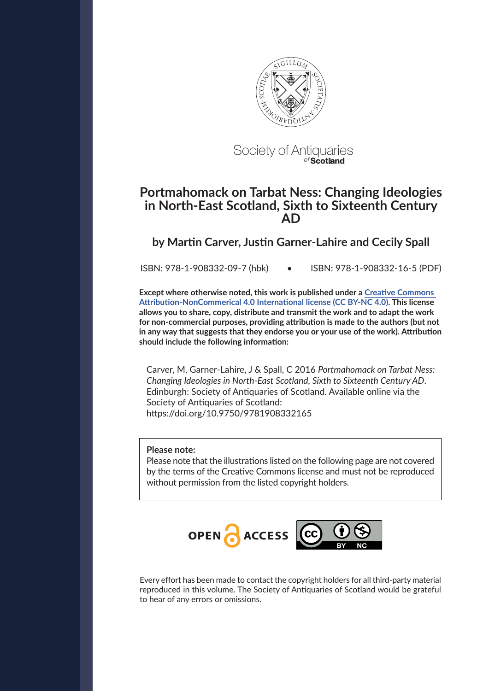

# Society of Antiquaries of **Scotland**

# **Portmahomack on Tarbat Ness: Changing Ideologies in North-East Scotland, Sixth to Sixteenth Century AD**

# **by Martin Carver, Justin Garner-Lahire and Cecily Spall**

ISBN: 978-1-908332-09-7 (hbk) • ISBN: 978-1-908332-16-5 (PDF)

**Except where otherwise noted, this work is published under a [Creative Commons](https://creativecommons.org/licenses/by-nc/4.0/)  [Attribution-NonCommerical 4.0 International license \(CC BY-NC 4.0\).](https://creativecommons.org/licenses/by-nc/4.0/) This license allows you to share, copy, distribute and transmit the work and to adapt the work for non-commercial purposes, providing attribution is made to the authors (but not in any way that suggests that they endorse you or your use of the work). Attribution should include the following information:**

Carver, M, Garner-Lahire, J & Spall, C 2016 *Portmahomack on Tarbat Ness: Changing Ideologies in North-East Scotland, Sixth to Sixteenth Century AD*. Edinburgh: Society of Antiquaries of Scotland. Available online via the Society of Antiquaries of Scotland: https://doi.org/10.9750/9781908332165

# **Please note:**

Please note that the illustrations listed on the following page are not covered by the terms of the Creative Commons license and must not be reproduced without permission from the listed copyright holders.



Every effort has been made to contact the copyright holders for all third-party material reproduced in this volume. The Society of Antiquaries of Scotland would be grateful to hear of any errors or omissions.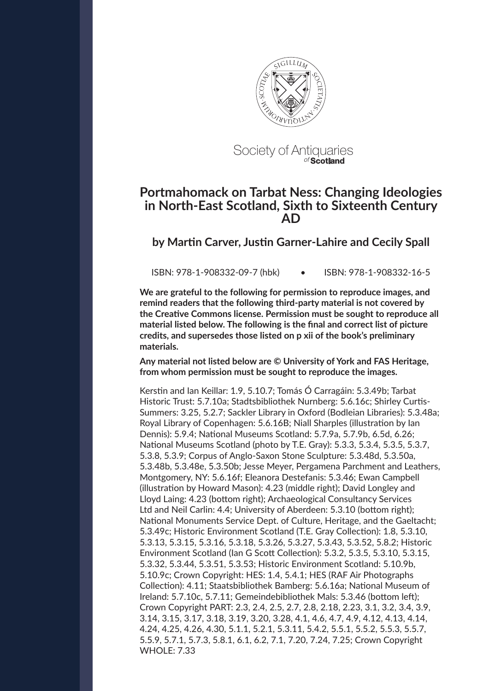

Society of Antiquaries of **Scotland**

# **Portmahomack on Tarbat Ness: Changing Ideologies in North-East Scotland, Sixth to Sixteenth Century AD**

**by Martin Carver, Justin Garner-Lahire and Cecily Spall**

ISBN: 978-1-908332-09-7 (hbk) • ISBN: 978-1-908332-16-5

**We are grateful to the following for permission to reproduce images, and remind readers that the following third-party material is not covered by the Creative Commons license. Permission must be sought to reproduce all material listed below. The following is the final and correct list of picture credits, and supersedes those listed on p xii of the book's preliminary materials.**

**Any material not listed below are © University of York and FAS Heritage, from whom permission must be sought to reproduce the images.**

Kerstin and Ian Keillar: 1.9, 5.10.7; Tomás Ó Carragáin: 5.3.49b; Tarbat Historic Trust: 5.7.10a; Stadtsbibliothek Nurnberg: 5.6.16c; Shirley Curtis-Summers: 3.25, 5.2.7; Sackler Library in Oxford (Bodleian Libraries): 5.3.48a; Royal Library of Copenhagen: 5.6.16B; Niall Sharples (illustration by Ian Dennis): 5.9.4; National Museums Scotland: 5.7.9a, 5.7.9b, 6.5d, 6.26; National Museums Scotland (photo by T.E. Gray): 5.3.3, 5.3.4, 5.3.5, 5.3.7, 5.3.8, 5.3.9; Corpus of Anglo-Saxon Stone Sculpture: 5.3.48d, 5.3.50a, 5.3.48b, 5.3.48e, 5.3.50b; Jesse Meyer, Pergamena Parchment and Leathers, Montgomery, NY: 5.6.16f; Eleanora Destefanis: 5.3.46; Ewan Campbell (illustration by Howard Mason): 4.23 (middle right); David Longley and Lloyd Laing: 4.23 (bottom right); Archaeological Consultancy Services Ltd and Neil Carlin: 4.4; University of Aberdeen: 5.3.10 (bottom right); National Monuments Service Dept. of Culture, Heritage, and the Gaeltacht; 5.3.49c; Historic Environment Scotland (T.E. Gray Collection): 1.8, 5.3.10, 5.3.13, 5.3.15, 5.3.16, 5.3.18, 5.3.26, 5.3.27, 5.3.43, 5.3.52, 5.8.2; Historic Environment Scotland (Ian G Scott Collection): 5.3.2, 5.3.5, 5.3.10, 5.3.15, 5.3.32, 5.3.44, 5.3.51, 5.3.53; Historic Environment Scotland: 5.10.9b, 5.10.9c; Crown Copyright: HES: 1.4, 5.4.1; HES (RAF Air Photographs Collection): 4.11; Staatsbibliothek Bamberg: 5.6.16a; National Museum of Ireland: 5.7.10c, 5.7.11; Gemeindebibliothek Mals: 5.3.46 (bottom left); Crown Copyright PART: 2.3, 2.4, 2.5, 2.7, 2.8, 2.18, 2.23, 3.1, 3.2, 3.4, 3.9, 3.14, 3.15, 3.17, 3.18, 3.19, 3.20, 3.28, 4.1, 4.6, 4.7, 4.9, 4.12, 4.13, 4.14, 4.24, 4.25, 4.26, 4.30, 5.1.1, 5.2.1, 5.3.11, 5.4.2, 5.5.1, 5.5.2, 5.5.3, 5.5.7, 5.5.9, 5.7.1, 5.7.3, 5.8.1, 6.1, 6.2, 7.1, 7.20, 7.24, 7.25; Crown Copyright WHOLE: 7.33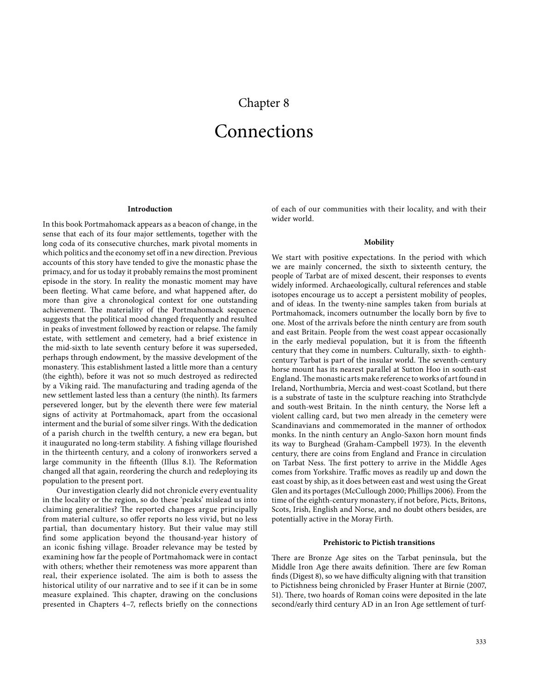# Chapter 8

# Connections

#### **Introduction**

<span id="page-2-0"></span>In this book Portmahomack appears as a beacon of change, in the sense that each of its four major settlements, together with the long coda of its consecutive churches, mark pivotal moments in which politics and the economy set off in a new direction. Previous accounts of this story have tended to give the monastic phase the primacy, and for us today it probably remains the most prominent episode in the story. In reality the monastic moment may have been fleeting. What came before, and what happened after, do more than give a chronological context for one outstanding achievement. The materiality of the Portmahomack sequence suggests that the political mood changed frequently and resulted in peaks of investment followed by reaction or relapse. The family estate, with settlement and cemetery, had a brief existence in the mid-sixth to late seventh century before it was superseded, perhaps through endowment, by the massive development of the monastery. This establishment lasted a little more than a century (the eighth), before it was not so much destroyed as redirected by a Viking raid. The manufacturing and trading agenda of the new settlement lasted less than a century (the ninth). Its farmers persevered longer, but by the eleventh there were few material signs of activity at Portmahomack, apart from the occasional interment and the burial of some silver rings. With the dedication of a parish church in the twelfth century, a new era began, but it inaugurated no long-term stability. A fishing village flourished in the thirteenth century, and a colony of ironworkers served a large community in the fifteenth ([Illus 8.1\).](#page-3-0) The Reformation changed all that again, reordering the church and redeploying its population to the present port.

Our investigation clearly did not chronicle every eventuality in the locality or the region, so do these 'peaks' mislead us into claiming generalities? The reported changes argue principally from material culture, so offer reports no less vivid, but no less partial, than documentary history. But their value may still find some application beyond the thousand-year history of an iconic fishing village. Broader relevance may be tested by examining how far the people of Portmahomack were in contact with others; whether their remoteness was more apparent than real, their experience isolated. The aim is both to assess the historical utility of our narrative and to see if it can be in some measure explained. This chapter, drawing on the conclusions presented in Chapters 4–7, reflects briefly on the connections of each of our communities with their locality, and with their wider world.

# **Mobility**

We start with positive expectations. In the period with which we are mainly concerned, the sixth to sixteenth century, the people of Tarbat are of mixed descent, their responses to events widely informed. Archaeologically, cultural references and stable isotopes encourage us to accept a persistent mobility of peoples, and of ideas. In the twenty-nine samples taken from burials at Portmahomack, incomers outnumber the locally born by five to one. Most of the arrivals before the ninth century are from south and east Britain. People from the west coast appear occasionally in the early medieval population, but it is from the fifteenth century that they come in numbers. Culturally, sixth- to eighthcentury Tarbat is part of the insular world. The seventh-century horse mount has its nearest parallel at Sutton Hoo in south-east England. The monastic arts make reference to works of art found in Ireland, Northumbria, Mercia and west-coast Scotland, but there is a substrate of taste in the sculpture reaching into Strathclyde and south-west Britain. In the ninth century, the Norse left a violent calling card, but two men already in the cemetery were Scandinavians and commemorated in the manner of orthodox monks. In the ninth century an Anglo-Saxon horn mount finds its way to [Burghead](https://canmore.org.uk/site/16190) (Graham-Campbell 1973). In the eleventh century, there are coins from England and France in circulation on Tarbat Ness. The first pottery to arrive in the Middle Ages comes from Yorkshire. Traffic moves as readily up and down the east coast by ship, as it does between east and west using the Great Glen and its portages (McCullough 2000; Phillips 2006). From the time of the eighth-century monastery, if not before, Picts, Britons, Scots, Irish, English and Norse, and no doubt others besides, are potentially active in the Moray Firth.

#### **Prehistoric to Pictish transitions**

There are Bronze Age sites on the Tarbat peninsula, but the Middle Iron Age there awaits definition. There are few Roman finds (Digest 8), so we have difficulty aligning with that transition to Pictishness being chronicled by Fraser Hunter at [Birnie](https://canmore.org.uk/site/158983) (2007, 51). There, two hoards of Roman coins were deposited in the late second/early third century AD in an Iron Age settlement of turf-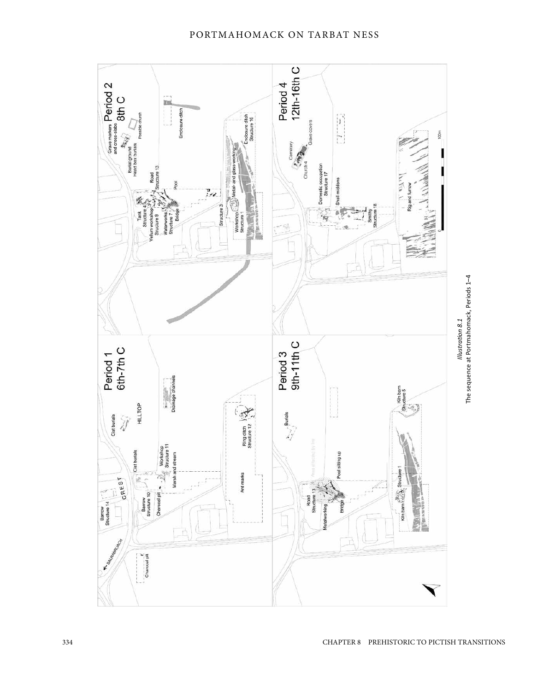<span id="page-3-0"></span>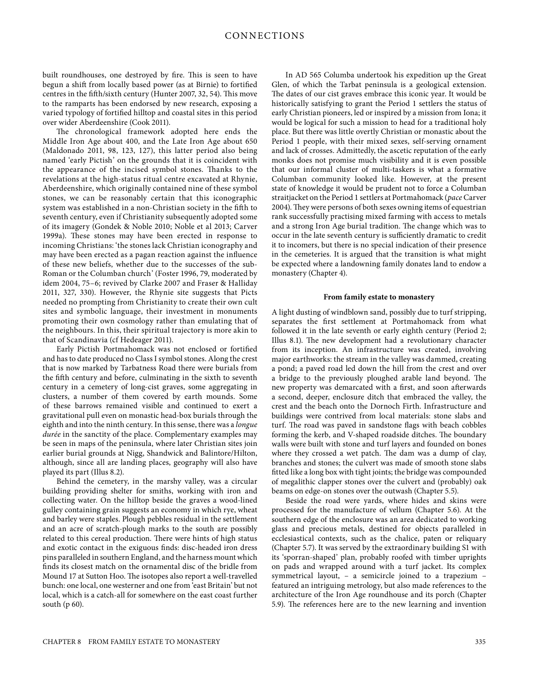<span id="page-4-0"></span>begun a shift from locally based power (as at Birnie) to fortified centres in the fifth/sixth century (Hunter 2007, 32, 54). This move to the ramparts has been endorsed by new research, exposing a varied typology of fortified hilltop and coastal sites in this period over wider Aberdeenshire (Cook 2011).

Note that the seeing of the seen in the seen to the set of the set of the set of the set of the set of the set of the set of the set of the set of the set of the set of the set of the set of the set of the set of the set The chronological framework adopted here ends the Middle Iron Age about 400, and the Late Iron Age about 650 (Maldonado 2011, 98, 123, 127), this latter period also being named 'early Pictish' on the grounds that it is coincident with the appearance of the incised symbol stones. Thanks to the revelations at the high-status ritual centre excavated at Rhynie, Aberdeenshire, which originally contained nine of these symbol stones, we can be reasonably certain that this iconographic system was established in a non-Christian society in the fifth to seventh century, even if Christianity subsequently adopted some of its imagery (Gondek & Noble 2010; Noble et al 2013; Carver 1999a). These stones may have been erected in response to incoming Christians: 'the stones lack Christian iconography and may have been erected as a pagan reaction against the influence of these new beliefs, whether due to the successes of the sub-Roman or the Columban church' (Foster 1996, 79, moderated by idem 2004, 75–6; revived by Clarke 2007 and Fraser & Halliday 2011, 327, 330). However, the Rhynie site suggests that Picts needed no prompting from Christianity to create their own cult sites and symbolic language, their investment in monuments promoting their own cosmology rather than emulating that of the neighbours. In this, their spiritual trajectory is more akin to that of Scandinavia (cf Hedeager 2011).

Early Pictish Portmahomack was not enclosed or fortified and has to date produced no Class I symbol stones. Along the crest that is now marked by Tarbatness Road there were burials from the fifth century and before, culminating in the sixth to seventh century in a cemetery of long-cist graves, some aggregating in clusters, a number of them covered by earth mounds. Some of these barrows remained visible and continued to exert a gravitational pull even on monastic head-box burials through the eighth and into the ninth century. In this sense, there was a *longue durée* in the sanctity of the place. Complementary examples may be seen in maps of the peninsula, where later Christian sites join earlier burial grounds at Nigg, Shandwick and Balintore/Hilton, although, since all are landing places, geography will also have played its part (Illus 8.2).

Behind the cemetery, in the marshy valley, was a circular building providing shelter for smiths, working with iron and collecting water. On the hilltop beside the graves a wood-lined gulley containing grain suggests an economy in which rye, wheat and barley were staples. Plough pebbles residual in the settlement and an acre of scratch-plough marks to the south are possibly related to this cereal production. There were hints of high status and exotic contact in the exiguous finds: disc-headed iron dress pins paralleled in southern England, and the harness mount which finds its closest match on the ornamental disc of the bridle from Mound 17 at Sutton Hoo. The isotopes also report a well-travelled bunch: one local, one westerner and one from 'east Britain' but not local, which is a catch-all for somewhere on the east coast further south (p 60).

In AD 565 Columba undertook his expedition up the Great Glen, of which the Tarbat peninsula is a geological extension. The dates of our cist graves embrace this iconic year. It would be historically satisfying to grant the Period 1 settlers the status of early Christian pioneers, led or inspired by a mission from Iona; it would be logical for such a mission to head for a traditional holy place. But there was little overtly Christian or monastic about the Period 1 people, with their mixed sexes, self-serving ornament and lack of crosses. Admittedly, the ascetic reputation of the early monks does not promise much visibility and it is even possible that our informal cluster of multi-taskers is what a formative Columban community looked like. However, at the present state of knowledge it would be prudent not to force a Columban straitjacket on the Period 1 settlers at Portmahomack (*pace* Carver 2004). They were persons of both sexes owning items of equestrian rank successfully practising mixed farming with access to metals and a strong Iron Age burial tradition. The change which was to occur in the late seventh century is sufficiently dramatic to credit it to incomers, but there is no special indication of their presence in the cemeteries. It is argued that the transition is what might be expected where a landowning family donates land to endow a monastery (Chapter 4).

# **From family estate to monastery**

A light dusting of windblown sand, possibly due to turf stripping, separates the first settlement at Portmahomack from what followed it in the late seventh or early eighth century (Period 2; Illus 8.1). The new development had a revolutionary character from its inception. An infrastructure was created, involving major earthworks: the stream in the valley was dammed, creating a pond; a paved road led down the hill from the crest and over a bridge to the previously ploughed arable land beyond. The new property was demarcated with a first, and soon afterwards a second, deeper, enclosure ditch that embraced the valley, the crest and the beach onto the Dornoch Firth. Infrastructure and buildings were contrived from local materials: stone slabs and turf. The road was paved in sandstone flags with beach cobbles forming the kerb, and V-shaped roadside ditches. The boundary walls were built with stone and turf layers and founded on bones where they crossed a wet patch. The dam was a dump of clay, branches and stones; the culvert was made of smooth stone slabs fitted like a long box with tight joints; the bridge was compounded of megalithic clapper stones over the culvert and (probably) oak beams on edge-on stones over the outwash (Chapter 5.5).

Beside the road were yards, where hides and skins were processed for the manufacture of vellum (Chapter 5.6). At the southern edge of the enclosure was an area dedicated to working glass and precious metals, destined for objects paralleled in ecclesiastical contexts, such as the chalice, paten or reliquary (Chapter 5.7). It was served by the extraordinary building S1 with its 'sporran-shaped' plan, probably roofed with timber uprights on pads and wrapped around with a turf jacket. Its complex symmetrical layout, – a semicircle joined to a trapezium – featured an intriguing metrology, but also made references to the architecture of the Iron Age roundhouse and its porch (Chapter 5.9). The references here are to the new learning and invention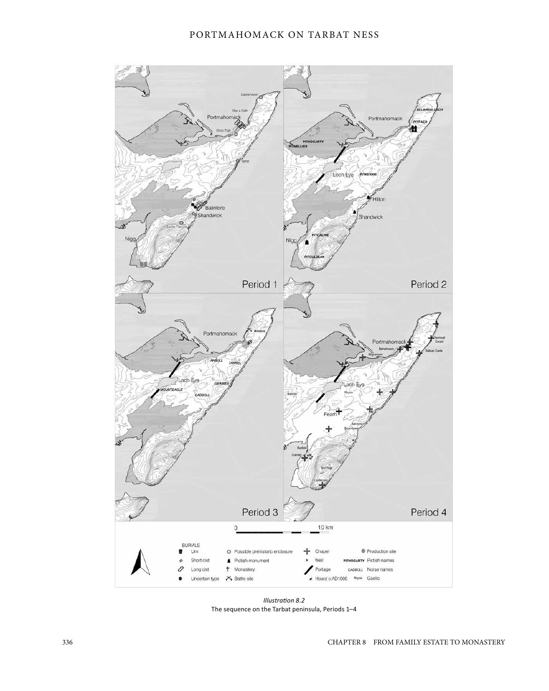<span id="page-5-0"></span>

*[Illustration 8.2](#page-4-0)*  The sequence on the Tarbat [peninsula,](#page-6-0) Periods 1–4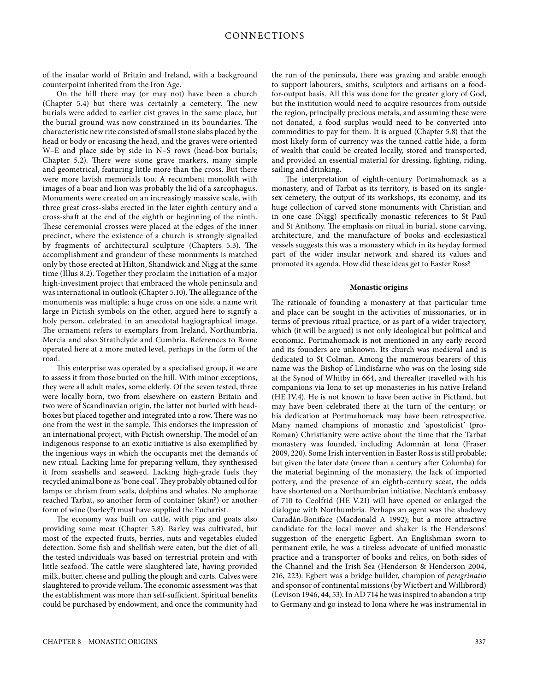<span id="page-6-0"></span>counterpoint inherited from the Iron Age.

On the hill there may (or may not) have been a church (Chapter 5.4) but there was certainly a cemetery. The new burials were added to earlier cist graves in the same place, but the burial ground was now constrained in its boundaries. The characteristic new rite consisted of small stone slabs placed by the head or body or encasing the head, and the graves were oriented W–E and place side by side in N–S rows (head-box burials; Chapter 5.2). There were stone grave markers, many simple and geometrical, featuring little more than the cross. But there were more lavish memorials too. A recumbent monolith with images of a boar and lion was probably the lid of a sarcophagus. Monuments were created on an increasingly massive scale, with three great cross-slabs erected in the later eighth century and a cross-shaft at the end of the eighth or beginning of the ninth. These ceremonial crosses were placed at the edges of the inner precinct, where the existence of a church is strongly signalled by fragments of architectural sculpture (Chapters 5.3). The accomplishment and grandeur of these monuments is matched only by those erected at Hilton, Shandwick and Nigg at the same time (Illus 8.2). Together they proclaim the initiation of a major high-investment project that embraced the whole peninsula and was international in outlook (Chapter 5.10). The allegiance of the monuments was multiple: a huge cross on one side, a name writ large in Pictish symbols on the other, argued here to signify a holy person, celebrated in an anecdotal hagiographical image. The ornament refers to exemplars from Ireland, Northumbria, Mercia and also Strathclyde and Cumbria. References to Rome operated here at a more muted level, perhaps in the form of the road.

This enterprise was operated by a specialised group, if we are to assess it from those buried on the hill. With minor exceptions, they were all adult males, some elderly. Of the seven tested, three were locally born, two from elsewhere on eastern Britain and two were of Scandinavian origin, the latter not buried with headboxes but placed together and integrated into a row. There was no one from the west in the sample. This endorses the impression of an international project, with Pictish ownership. The model of an indigenous response to an exotic initiative is also exemplified by the ingenious ways in which the occupants met the demands of new ritual. Lacking lime for preparing vellum, they synthesised it from seashells and seaweed. Lacking high-grade fuels they recycled animal bone as 'bone coal'. They probably obtained oil for lamps or chrism from seals, dolphins and whales. No amphorae reached Tarbat, so another form of container (skin?) or another form of wine (barley?) must have supplied the Eucharist.

The economy was built on cattle, with pigs and goats also providing some meat (Chapter 5.8). Barley was cultivated, but most of the expected fruits, berries, nuts and vegetables eluded detection. Some fish and shellfish were eaten, but the diet of all the tested individuals was based on terrestrial protein and with little seafood. The cattle were slaughtered late, having provided milk, butter, cheese and pulling the plough and carts. Calves were slaughtered to provide vellum. The economic assessment was that the establishment was more than self-sufficient. Spiritual benefits could be purchased by endowment, and once the community had the run of the peninsula, there was grazing and arable enough to support labourers, smiths, sculptors and artisans on a foodfor-output basis. All this was done for the greater glory of God, but the institution would need to acquire resources from outside the region, principally precious metals, and assuming these were not donated, a food surplus would need to be converted into commodities to pay for them. It is argued (Chapter 5.8) that the most likely form of currency was the tanned cattle hide, a form of wealth that could be created locally, stored and transported, and provided an essential material for dressing, fighting, riding, sailing and drinking.

The interpretation of eighth-century Portmahomack as a monastery, and of Tarbat as its territory, is based on its singlesex cemetery, the output of its workshops, its economy, and its huge collection of carved stone monuments with Christian and in one case (Nigg) specifically monastic references to St Paul and St Anthony. The emphasis on ritual in burial, stone carving, architecture, and the manufacture of books and ecclesiastical vessels suggests this was a monastery which in its heyday formed part of the wider insular network and shared its values and promoted its agenda. How did these ideas get to Easter Ross?

# **Monastic origins**

If the internet state is a state of the internet of Britain and the internet of Britain and the internet of Britain and the internet of Britain and the internet of Britain and the internet of Britain and the internet of B The rationale of founding a monastery at that particular time and place can be sought in the activities of missionaries, or in terms of previous ritual practice, or as part of a wider trajectory, which (it will be argued) is not only ideological but political and economic. Portmahomack is not mentioned in any early record and its founders are unknown. Its church was medieval and is dedicated to St Colman. Among the numerous bearers of this name was the Bishop of Lindisfarne who was on the losing side at the Synod of Whitby in 664, and thereafter travelled with his companions via Iona to set up monasteries in his native Ireland (HE IV.4). He is not known to have been active in Pictland, but may have been celebrated there at the turn of the century; or his dedication at Portmahomack may have been retrospective. Many named champions of monastic and 'apostolicist' (pro-Roman) Christianity were active about the time that the Tarbat monastery was founded, including Adomnán at Iona (Fraser 2009, 220). Some Irish intervention in Easter Ross is still probable; but given the later date (more than a century after Columba) for the material beginning of the monastery, the lack of imported pottery, and the presence of an eighth-century sceat, the odds have shortened on a Northumbrian initiative. Nechtan's embassy of 710 to Ceolfrid (HE V.21) will have opened or enlarged the dialogue with Northumbria. Perhaps an agent was the shadowy Curadán-Boniface (Macdonald A 1992); but a more attractive candidate for the local mover and shaker is the Hendersons' suggestion of the energetic Egbert. An Englishman sworn to permanent exile, he was a tireless advocate of unified monastic practice and a transporter of books and relics, on both sides of the Channel and the Irish Sea (Henderson & Henderson 2004, 216, 223). Egbert was a bridge builder, champion of *peregrinatio* and sponsor of continental missions (by Wictbert and Willibrord) (Levison 1946, 44, 53). In AD 714 he was inspired to abandon a trip to Germany and go instead to Iona where he was instrumental in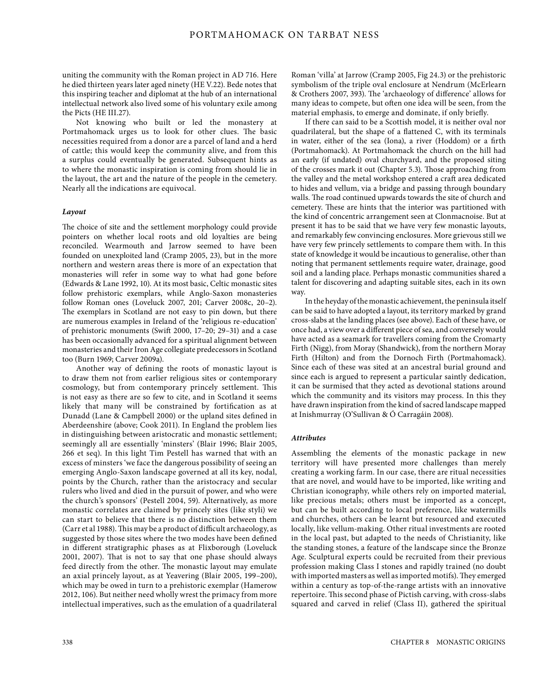uniting the community with the Roman project in AD 716. Here he died thirteen years later aged ninety (HE V.22). Bede notes that this inspiring teacher and diplomat at the hub of an international intellectual network also lived some of his voluntary exile among the Picts (HE III.27).

Not knowing who built or led the monastery at Portmahomack urges us to look for other clues. The basic necessities required from a donor are a parcel of land and a herd of cattle; this would keep the community alive, and from this a surplus could eventually be generated. Subsequent hints as to where the monastic inspiration is coming from should lie in the layout, the art and the nature of the people in the cemetery. Nearly all the indications are equivocal.

# *Layout*

The choice of site and the settlement morphology could provide pointers on whether local roots and old loyalties are being reconciled. Wearmouth and Jarrow seemed to have been founded on unexploited land (Cramp 2005, 23), but in the more northern and western areas there is more of an expectation that monasteries will refer in some way to what had gone before (Edwards & Lane 1992, 10). At its most basic, Celtic monastic sites follow prehistoric exemplars, while Anglo-Saxon monasteries follow Roman ones (Loveluck 2007, 201; Carver 2008c, 20–2). The exemplars in Scotland are not easy to pin down, but there are numerous examples in Ireland of the 'religious re-education' of prehistoric monuments (Swift 2000, 17–20; 29–31) and a case has been occasionally advanced for a spiritual alignment between monasteries and their Iron Age collegiate predecessors in Scotland too (Burn 1969; Carver 2009a).

Another way of defining the roots of monastic layout is to draw them not from earlier religious sites or contemporary cosmology, but from contemporary princely settlement. This is not easy as there are so few to cite, and in Scotland it seems likely that many will be constrained by fortification as at Dunadd (Lane & Campbell 2000) or the upland sites defined in Aberdeenshire (above; Cook 2011). In England the problem lies in distinguishing between aristocratic and monastic settlement; seemingly all are essentially 'minsters' (Blair 1996; Blair 2005, 266 et seq). In this light Tim Pestell has warned that with an excess of minsters 'we face the dangerous possibility of seeing an emerging Anglo-Saxon landscape governed at all its key, nodal, points by the Church, rather than the aristocracy and secular rulers who lived and died in the pursuit of power, and who were the church's sponsors' (Pestell 2004, 59). Alternatively, as more monastic correlates are claimed by princely sites (like styli) we can start to believe that there is no distinction between them (Carr et al 1988). This may be a product of difficult archaeology, as suggested by those sites where the two modes have been defined in different stratigraphic phases as at Flixborough (Loveluck 2001, 2007). That is not to say that one phase should always feed directly from the other. The monastic layout may emulate an axial princely layout, as at Yeavering (Blair 2005, 199–200), which may be owed in turn to a prehistoric exemplar (Hamerow 2012, 106). But neither need wholly wrest the primacy from more intellectual imperatives, such as the emulation of a quadrilateral Roman 'villa' at Jarrow (Cramp 2005, Fig 24.3) or the prehistoric symbolism of the triple oval enclosure at Nendrum (McErlearn & Crothers 2007, 393). The 'archaeology of difference' allows for many ideas to compete, but often one idea will be seen, from the material emphasis, to emerge and dominate, if only briefly.

If there can said to be a Scottish model, it is neither oval nor quadrilateral, but the shape of a flattened C, with its terminals in water, either of the sea (Iona), a river (Hoddom) or a firth (Portmahomack). At Portmahomack the church on the hill had an early (if undated) oval churchyard, and the proposed siting of the crosses mark it out (Chapter 5.3). Those approaching from the valley and the metal workshop entered a craft area dedicated to hides and vellum, via a bridge and passing through boundary walls. The road continued upwards towards the site of church and cemetery. These are hints that the interior was partitioned with the kind of concentric arrangement seen at Clonmacnoise. But at present it has to be said that we have very few monastic layouts, and remarkably few convincing enclosures. More grievous still we have very few princely settlements to compare them with. In this state of knowledge it would be incautious to generalise, other than noting that permanent settlements require water, drainage, good soil and a landing place. Perhaps monastic communities shared a talent for discovering and adapting suitable sites, each in its own way.

In the heyday of the monastic achievement, the peninsula itself can be said to have adopted a layout, its territory marked by grand cross-slabs at the landing places (see above). Each of these have, or once had, a view over a different piece of sea, and conversely would have acted as a seamark for travellers coming from the Cromarty Firth [\(Nigg](https://canmore.org.uk/site/15280)), from Moray [\(Shandwick\),](https://canmore.org.uk/site/15278) from the northern Moray Firth [\(Hilton\)](https://canmore.org.uk/site/15261) and from the Dornoch Firth [\(Portmahomack\)](https://canmore.org.uk/site/15662). Since each of these was sited at an ancestral burial ground and since each is argued to represent a particular saintly dedication, it can be surmised that they acted as devotional stations around which the community and its visitors may process. In this they have drawn inspiration from the kind of sacred landscape mapped at Inishmurray (O'Sullivan & Ó Carragáin 2008).

# *Attributes*

Assembling the elements of the monastic package in new territory will have presented more challenges than merely creating a working farm. In our case, there are ritual necessities that are novel, and would have to be imported, like writing and Christian iconography, while others rely on imported material, like precious metals; others must be imported as a concept, but can be built according to local preference, like watermills and churches, others can be learnt but resourced and executed locally, like vellum-making. Other ritual investments are rooted in the local past, but adapted to the needs of Christianity, like the standing stones, a feature of the landscape since the Bronze Age. Sculptural experts could be recruited from their previous profession making Class I stones and rapidly trained (no doubt with imported masters as well as imported motifs). They emerged within a century as top-of-the-range artists with an innovative repertoire. This second phase of Pictish carving, with cross-slabs squared and carved in relief (Class II), gathered the spiritual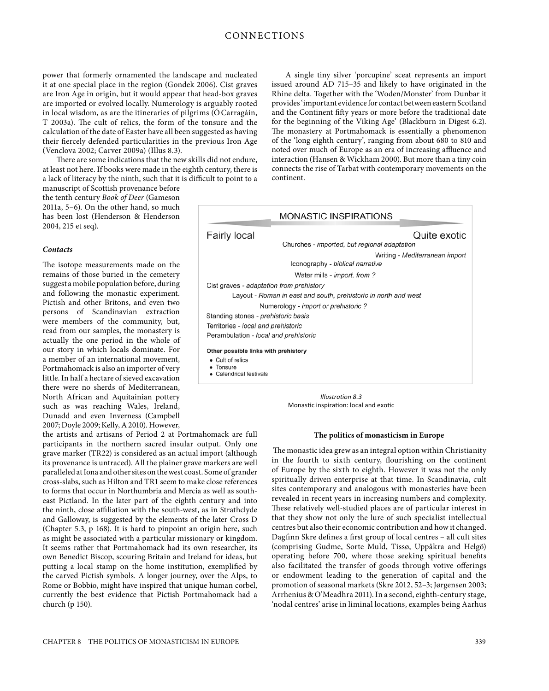# CONNECTIONS

it at one special place in the region (Gondek 2006). Cist graves are Iron Age in origin, but it would appear that head-box graves are imported or evolved locally. Numerology is arguably rooted in local wisdom, as are the itineraries of pilgrims (ÓCarragáin, T 2003a). The cult of relics, the form of the tonsure and the calculation of the date of Easter have all been suggested as having their fiercely defended particularities in the previous Iron Age (Venclova 2002; Carver 2009a) (Illus 8.3).

There are some indications that the new skills did not endure, at least not here. If books were made in the eighth century, there is a lack of literacy by the ninth, such that it is difficult to point to a

manuscript of Scottish provenance before the tenth century *Book of Deer* (Gameson 2011a, 5–6). On the other hand, so much has been lost (Henderson & Henderson 2004, 215 et seq).

# *Contacts*

The isotope measurements made on the remains of those buried in the cemetery suggest a mobile population before, during and following the monastic experiment. Pictish and other Britons, and even two persons of Scandinavian extraction were members of the community, but, read from our samples, the monastery is actually the one period in the whole of our story in which locals dominate. For a member of an international movement, Portmahomack is also an importer of very little. In half a hectare of sieved excavation there were no sherds of Mediterranean, North African and Aquitainian pottery such as was reaching Wales, Ireland, Dunadd and even Inverness (Campbell 2007; Doyle 2009; Kelly, A 2010). However,

the artists and artisans of Period 2 at Portmahomack are full participants in the northern sacred insular output. Only one grave marker (TR22) is considered as an actual import (although its provenance is untraced). All the plainer grave markers are well paralleled at Iona and other sites on the west coast. Some of grander cross-slabs, such as Hilton and TR1 seem to make close references to forms that occur in Northumbria and Mercia as well as southeast Pictland. In the later part of the eighth century and into the ninth, close affiliation with the south-west, as in Strathclyde and Galloway, is suggested by the elements of the later Cross D (Chapter 5.3, p 168). It is hard to pinpoint an origin here, such as might be associated with a particular missionary or kingdom. It seems rather that Portmahomack had its own researcher, its own Benedict Biscop, scouring Britain and Ireland for ideas, but putting a local stamp on the home institution, exemplified by the carved Pictish symbols. A longer journey, over the Alps, to Rome or Bobbio, might have inspired that unique human corbel, currently the best evidence that Pictish Portmahomack had a church (p 150).

A single tiny silver 'porcupine' sceat represents an import issued around AD 715–35 and likely to have originated in the Rhine delta. Together with the 'Woden/Monster' from Dunbar it provides 'important evidence for contact between eastern Scotland and the Continent fifty years or more before the traditional date for the beginning of the Viking Age' (Blackburn in Digest 6.2). The monastery at Portmahomack is essentially a phenomenon of the 'long eighth century', ranging from about 680 to 810 and noted over much of Europe as an era of increasing affluence and interaction (Hansen & Wickham 2000). But more than a tiny coin connects the rise of Tarbat with contemporary movements on the continent.



*Illustration 8.3*  Monastic inspiration: local and exotic

# **The politics of monasticism in Europe**

 The monastic idea grew as an integral option within Christianity in the fourth to sixth century, flourishing on the continent of Europe by the sixth to eighth. However it was not the only spiritually driven enterprise at that time. In Scandinavia, cult sites contemporary and analogous with monasteries have been revealed in recent years in increasing numbers and complexity. These relatively well-studied places are of particular interest in that they show not only the lure of such specialist intellectual centres but also their economic contribution and how it changed. Dagfinn Skre defines a first group of local centres – all cult sites (comprising Gudme, Sorte Muld, Tissø, Uppåkra and Helgö) operating before 700, where those seeking spiritual benefits also facilitated the transfer of goods through votive offerings or endowment leading to the generation of capital and the promotion of seasonal markets (Skre 2012, 52–3; Jørgensen 2003; Arrhenius & O'Meadhra 2011). In a second, eighth-century stage, 'nodal centres' arise in liminal locations, examples being Aarhus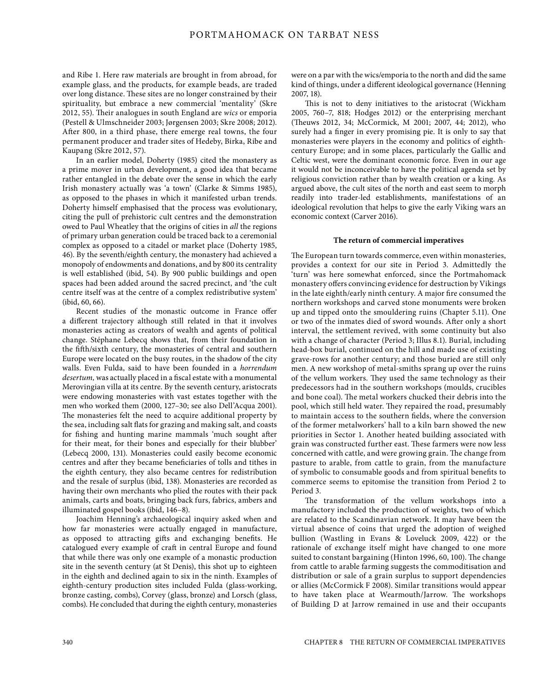and Ribe 1. Here raw materials are brought in from abroad, for example glass, and the products, for example beads, are traded over long distance. These sites are no longer constrained by their spirituality, but embrace a new commercial 'mentality' (Skre 2012, 55). Their analogues in south England are *wics* or emporia (Pestell & Ulmschneider 2003; Jørgensen 2003; Skre 2008; 2012). After 800, in a third phase, there emerge real towns, the four permanent producer and trader sites of Hedeby, Birka, Ribe and Kaupang (Skre 2012, 57).

In an earlier model, Doherty (1985) cited the monastery as a prime mover in urban development, a good idea that became rather entangled in the debate over the sense in which the early Irish monastery actually was 'a town' (Clarke & Simms 1985), as opposed to the phases in which it manifested urban trends. Doherty himself emphasised that the process was evolutionary, citing the pull of prehistoric cult centres and the demonstration owed to Paul Wheatley that the origins of cities in *all* the regions of primary urban generation could be traced back to a ceremonial complex as opposed to a citadel or market place (Doherty 1985, 46). By the seventh/eighth century, the monastery had achieved a monopoly of endowments and donations, and by 800 its centrality is well established (ibid, 54). By 900 public buildings and open spaces had been added around the sacred precinct, and 'the cult centre itself was at the centre of a complex redistributive system' (ibid, 60, 66).

Recent studies of the monastic outcome in France offer a different trajectory although still related in that it involves monasteries acting as creators of wealth and agents of political change. Stéphane Lebecq shows that, from their foundation in the fifth/sixth century, the monasteries of central and southern Europe were located on the busy routes, in the shadow of the city walls. Even Fulda, said to have been founded in a *horrendum desertum,* was actually placed in a fiscal estate with a monumental Merovingian villa at its centre. By the seventh century, aristocrats were endowing monasteries with vast estates together with the men who worked them (2000, 127–30; see also Dell'Acqua 2001). The monasteries felt the need to acquire additional property by the sea, including salt flats for grazing and making salt, and coasts for fishing and hunting marine mammals 'much sought after for their meat, for their bones and especially for their blubber' (Lebecq 2000, 131). Monasteries could easily become economic centres and after they became beneficiaries of tolls and tithes in the eighth century, they also became centres for redistribution and the resale of surplus (ibid, 138). Monasteries are recorded as having their own merchants who plied the routes with their pack animals, carts and boats, bringing back furs, fabrics, ambers and illuminated gospel books (ibid, 146–8).

Joachim Henning's archaeological inquiry asked when and how far monasteries were actually engaged in manufacture, as opposed to attracting gifts and exchanging benefits. He catalogued every example of craft in central Europe and found that while there was only one example of a monastic production site in the seventh century (at St Denis), this shot up to eighteen in the eighth and declined again to six in the ninth. Examples of eighth-century production sites included Fulda (glass-working, bronze casting, combs), Corvey (glass, bronze) and Lorsch (glass, combs). He concluded that during the eighth century, monasteries were on a par with the wics/emporia to the north and did the same kind of things, under a different ideological governance (Henning 2007, 18).

This is not to deny initiatives to the aristocrat (Wickham 2005, 760–7, 818; Hodges 2012) or the enterprising merchant (Theuws 2012, 34; McCormick, M 2001; 2007, 44; 2012), who surely had a finger in every promising pie. It is only to say that monasteries were players in the economy and politics of eighthcentury Europe; and in some places, particularly the Gallic and Celtic west, were the dominant economic force. Even in our age it would not be inconceivable to have the political agenda set by religious conviction rather than by wealth creation or a king. As argued above, the cult sites of the north and east seem to morph readily into trader-led establishments, manifestations of an ideological revolution that helps to give the early Viking wars an economic context (Carver 2016).

# **The return of commercial imperatives**

The European turn towards commerce, even within monasteries, provides a context for our site in Period 3. Admittedly the 'turn' was here somewhat enforced, since the Portmahomack monastery offers convincing evidence for destruction by Vikings in the late eighth/early ninth century. A major fire consumed the northern workshops and carved stone monuments were broken up and tipped onto the smouldering ruins (Chapter 5.11). One or two of the inmates died of sword wounds. After only a short interval, the settlement revived, with some continuity but also with a change of character (Period 3; [Illus 8.1\).](#page-3-0) Burial, including head-box burial, continued on the hill and made use of existing grave-rows for another century; and those buried are still only men. A new workshop of metal-smiths sprang up over the ruins of the vellum workers. They used the same technology as their predecessors had in the southern workshops (moulds, crucibles and bone coal). The metal workers chucked their debris into the pool, which still held water. They repaired the road, presumably to maintain access to the southern fields, where the conversion of the former metalworkers' hall to a kiln barn showed the new priorities in Sector 1. Another heated building associated with grain was constructed further east. These farmers were now less concerned with cattle, and were growing grain. The change from pasture to arable, from cattle to grain, from the manufacture of symbolic to consumable goods and from spiritual benefits to commerce seems to epitomise the transition from Period 2 to Period 3.

The transformation of the vellum workshops into a manufactory included the production of weights, two of which are related to the Scandinavian network. It may have been the virtual absence of coins that urged the adoption of weighed bullion (Wastling in Evans & Loveluck 2009, 422) or the rationale of exchange itself might have changed to one more suited to constant bargaining (Hinton 1996, 60, 100). The change from cattle to arable farming suggests the commoditisation and distribution or sale of a grain surplus to support dependencies or allies (McCormick F 2008). Similar transitions would appear to have taken place at Wearmouth/Jarrow. The workshops of Building D at Jarrow remained in use and their occupants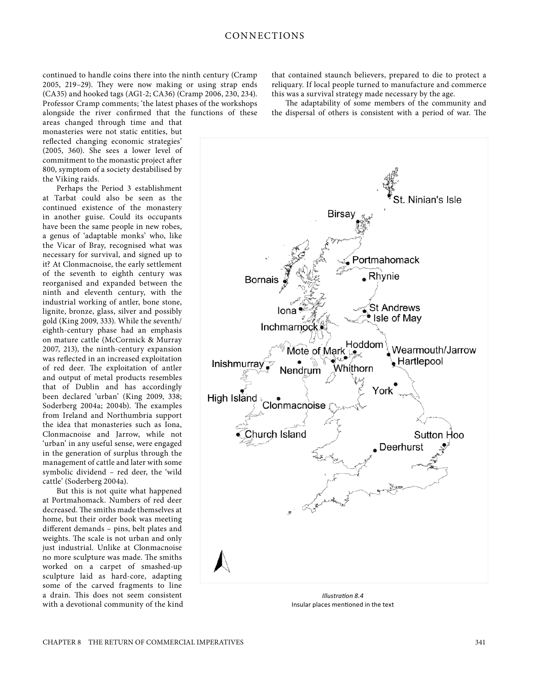2005, 219–29). They were now making or using strap ends (CA35) and hooked tags (AG1-2; CA36) (Cramp 2006, 230, 234). Professor Cramp comments; 'the latest phases of the workshops alongside the river confirmed that the functions of these

areas changed through time and that monasteries were not static entities, but reflected changing economic strategies' (2005, 360). She sees a lower level of commitment to the monastic project after 800, symptom of a society destabilised by the Viking raids.

Perhaps the Period 3 establishment at Tarbat could also be seen as the continued existence of the monastery in another guise. Could its occupants have been the same people in new robes, a genus of 'adaptable monks' who, like the Vicar of Bray, recognised what was necessary for survival, and signed up to it? At Clonmacnoise, the early settlement of the seventh to eighth century was reorganised and expanded between the ninth and eleventh century, with the industrial working of antler, bone stone, lignite, bronze, glass, silver and possibly gold (King 2009, 333). While the seventh/ eighth-century phase had an emphasis on mature cattle (McCormick & Murray 2007, 213), the ninth-century expansion was reflected in an increased exploitation of red deer. The exploitation of antler and output of metal products resembles that of Dublin and has accordingly been declared 'urban' (King 2009, 338; Soderberg 2004a; 2004b). The examples from Ireland and Northumbria support the idea that monasteries such as Iona, Clonmacnoise and Jarrow, while not 'urban' in any useful sense, were engaged in the generation of surplus through the management of cattle and later with some symbolic dividend – red deer, the 'wild cattle' (Soderberg 2004a).

But this is not quite what happened at Portmahomack. Numbers of red deer decreased. The smiths made themselves at home, but their order book was meeting different demands – pins, belt plates and weights. The scale is not urban and only just industrial. Unlike at Clonmacnoise no more sculpture was made. The smiths worked on a carpet of smashed-up sculpture laid as hard-core, adapting some of the carved fragments to line a drain. This does not seem consistent with a devotional community of the kind that contained staunch believers, prepared to die to protect a reliquary. If local people turned to manufacture and commerce this was a survival strategy made necessary by the age.

The adaptability of some members of the community and the dispersal of others is consistent with a period of war. The



*Illustration 8.4*  Insular places mentioned in the text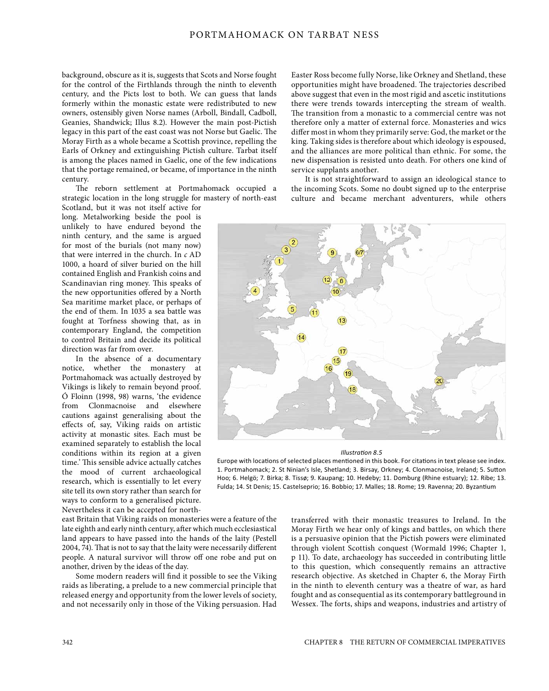# PORTMAHOMACK ON TARBAT NESS

background, obscure as it is, suggests that Scots and Norse fought for the control of the Firthlands through the ninth to eleventh century, and the Picts lost to both. We can guess that lands formerly within the monastic estate were redistributed to new owners, ostensibly given Norse names (Arboll, Bindall, Cadboll, Geanies, Shandwick; [Illus 8.2\).](#page-5-0) However the main post-Pictish legacy in this part of the east coast was not Norse but Gaelic. The Moray Firth as a whole became a Scottish province, repelling the Earls of Orkney and extinguishing Pictish culture. Tarbat itself is among the places named in Gaelic, one of the few indications that the portage remained, or became, of importance in the ninth century.

The reborn settlement at Portmahomack occupied a strategic location in the long struggle for mastery of north-east

Scotland, but it was not itself active for long. Metalworking beside the pool is unlikely to have endured beyond the ninth century, and the same is argued for most of the burials (not many now) that were interred in the church. In *c* AD 1000, a hoard of silver buried on the hill contained English and Frankish coins and Scandinavian ring money. This speaks of the new opportunities offered by a North Sea maritime market place, or perhaps of the end of them. In 1035 a sea battle was fought at Torfness showing that, as in contemporary England, the competition to control Britain and decide its political direction was far from over.

In the absence of a documentary notice, whether the monastery at Portmahomack was actually destroyed by Vikings is likely to remain beyond proof. Ó Floinn (1998, 98) warns, 'the evidence from Clonmacnoise and elsewhere cautions against generalising about the effects of, say, Viking raids on artistic activity at monastic sites. Each must be examined separately to establish the local conditions within its region at a given time.' This sensible advice actually catches the mood of current archaeological research, which is essentially to let every site tell its own story rather than search for ways to conform to a generalised picture. Nevertheless it can be accepted for north-

east Britain that Viking raids on monasteries were a feature of the late eighth and early ninth century, after which much ecclesiastical land appears to have passed into the hands of the laity (Pestell 2004, 74). That is not to say that the laity were necessarily different people. A natural survivor will throw off one robe and put on another, driven by the ideas of the day.

Some modern readers will find it possible to see the Viking raids as liberating, a prelude to a new commercial principle that released energy and opportunity from the lower levels of society, and not necessarily only in those of the Viking persuasion. Had Easter Ross become fully Norse, like Orkney and Shetland, these opportunities might have broadened. The trajectories described above suggest that even in the most rigid and ascetic institutions there were trends towards intercepting the stream of wealth. The transition from a monastic to a commercial centre was not therefore only a matter of external force. Monasteries and wics differ most in whom they primarily serve: God, the market or the king. Taking sides is therefore about which ideology is espoused, and the alliances are more political than ethnic. For some, the new dispensation is resisted unto death. For others one kind of service supplants another.

It is not straightforward to assign an ideological stance to the incoming Scots. Some no doubt signed up to the enterprise culture and became merchant adventurers, while others



#### *Illustration 8.5*

Europe with locations of selected places mentioned in this book. For citations in text please see index. 1. Portmahomack; 2. St Ninian's Isle, Shetland; 3. Birsay, Orkney; 4. Clonmacnoise, Ireland; 5. Sutton Hoo; 6. Helgö; 7. Birka; 8. Tissø; 9. Kaupang; 10. Hedeby; 11. Domburg (Rhine estuary); 12. Ribe; 13. Fulda; 14. St Denis; 15. Castelseprio; 16. Bobbio; 17. Malles; 18. Rome; 19. Ravenna; 20. Byzantium

transferred with their monastic treasures to Ireland. In the Moray Firth we hear only of kings and battles, on which there is a persuasive opinion that the Pictish powers were eliminated through violent Scottish conquest (Wormald 1996; Chapter 1, p 11). To date, archaeology has succeeded in contributing little to this question, which consequently remains an attractive research objective. As sketched in Chapter 6, the Moray Firth in the ninth to eleventh century was a theatre of war, as hard fought and as consequential as its contemporary battleground in Wessex. The forts, ships and weapons, industries and artistry of